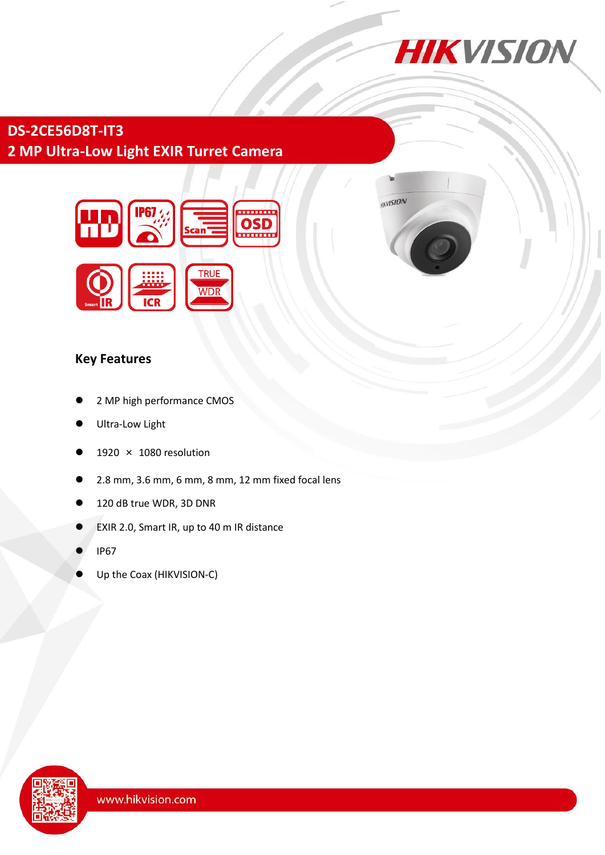

**IKVISION** 

## **DS-2CE56D8T-IT3 2 MP Ultra-Low Light EXIR Turret Camera**



## **Key Features**

- 2 MP high performance CMOS
- Ultra-Low Light
- 1920 × 1080 resolution
- 2.8 mm, 3.6 mm, 6 mm, 8 mm, 12 mm fixed focal lens
- 120 dB true WDR, 3D DNR
- EXIR 2.0, Smart IR, up to 40 m IR distance
- IP67
- Up the Coax (HIKVISION-C)

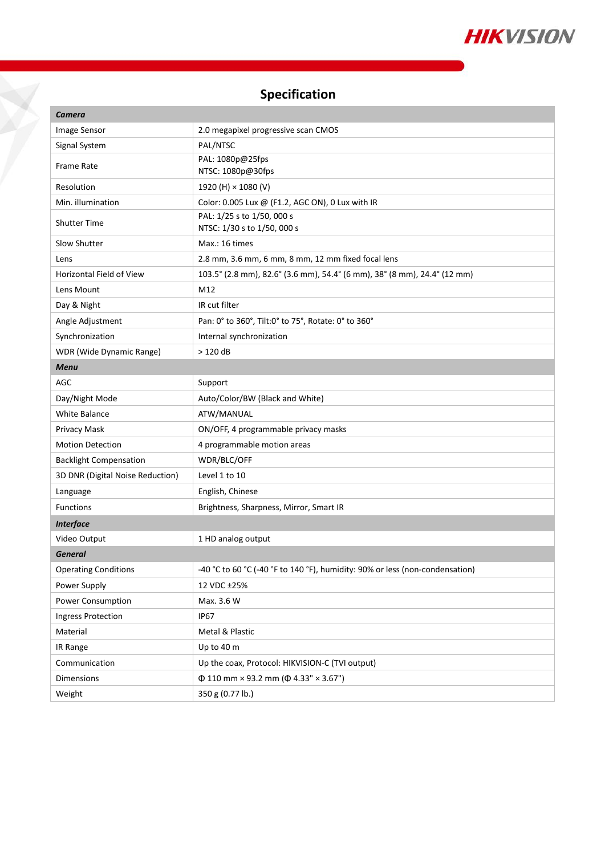

# **Specification**

Y

| Camera                           |                                                                              |
|----------------------------------|------------------------------------------------------------------------------|
| Image Sensor                     | 2.0 megapixel progressive scan CMOS                                          |
| Signal System                    | PAL/NTSC                                                                     |
| <b>Frame Rate</b>                | PAL: 1080p@25fps<br>NTSC: 1080p@30fps                                        |
| Resolution                       | 1920 (H) × 1080 (V)                                                          |
| Min. illumination                | Color: 0.005 Lux @ (F1.2, AGC ON), 0 Lux with IR                             |
| <b>Shutter Time</b>              | PAL: 1/25 s to 1/50, 000 s<br>NTSC: 1/30 s to 1/50, 000 s                    |
| Slow Shutter                     | Max.: 16 times                                                               |
| Lens                             | 2.8 mm, 3.6 mm, 6 mm, 8 mm, 12 mm fixed focal lens                           |
| Horizontal Field of View         | 103.5° (2.8 mm), 82.6° (3.6 mm), 54.4° (6 mm), 38° (8 mm), 24.4° (12 mm)     |
| Lens Mount                       | M12                                                                          |
| Day & Night                      | IR cut filter                                                                |
| Angle Adjustment                 | Pan: 0° to 360°, Tilt:0° to 75°, Rotate: 0° to 360°                          |
| Synchronization                  | Internal synchronization                                                     |
| WDR (Wide Dynamic Range)         | $>120$ dB                                                                    |
| <b>Menu</b>                      |                                                                              |
| <b>AGC</b>                       | Support                                                                      |
| Day/Night Mode                   | Auto/Color/BW (Black and White)                                              |
| <b>White Balance</b>             | ATW/MANUAL                                                                   |
| Privacy Mask                     | ON/OFF, 4 programmable privacy masks                                         |
| <b>Motion Detection</b>          | 4 programmable motion areas                                                  |
| <b>Backlight Compensation</b>    | WDR/BLC/OFF                                                                  |
| 3D DNR (Digital Noise Reduction) | Level 1 to 10                                                                |
| Language                         | English, Chinese                                                             |
| <b>Functions</b>                 | Brightness, Sharpness, Mirror, Smart IR                                      |
| <b>Interface</b>                 |                                                                              |
| Video Output                     | 1 HD analog output                                                           |
| <b>General</b>                   |                                                                              |
| <b>Operating Conditions</b>      | -40 °C to 60 °C (-40 °F to 140 °F), humidity: 90% or less (non-condensation) |
| Power Supply                     | 12 VDC ±25%                                                                  |
| Power Consumption                | Max. 3.6 W                                                                   |
| <b>Ingress Protection</b>        | IP <sub>67</sub>                                                             |
| Material                         | Metal & Plastic                                                              |
| IR Range                         | Up to 40 m                                                                   |
| Communication                    | Up the coax, Protocol: HIKVISION-C (TVI output)                              |
| Dimensions                       | $\Phi$ 110 mm × 93.2 mm ( $\Phi$ 4.33" × 3.67")                              |
| Weight                           | 350 g (0.77 lb.)                                                             |